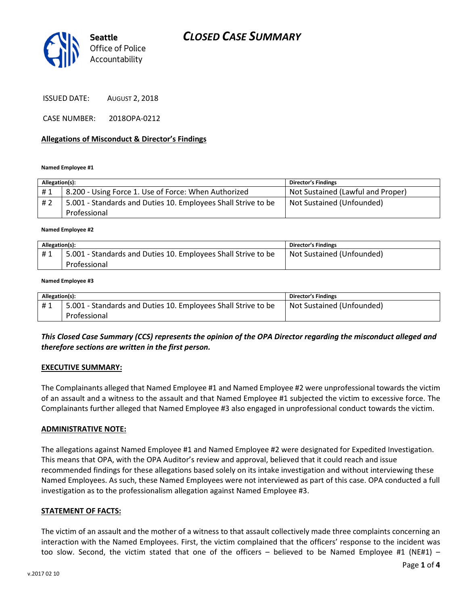

ISSUED DATE: AUGUST 2, 2018

CASE NUMBER: 2018OPA-0212

#### Allegations of Misconduct & Director's Findings

Named Employee #1

| Allegation(s): |                                                               | <b>Director's Findings</b>        |
|----------------|---------------------------------------------------------------|-----------------------------------|
| #1             | 8.200 - Using Force 1. Use of Force: When Authorized          | Not Sustained (Lawful and Proper) |
| # 2            | 5.001 - Standards and Duties 10. Employees Shall Strive to be | Not Sustained (Unfounded)         |
|                | Professional                                                  |                                   |

#### Named Employee #2

| Allegation(s): |                                                                               | <b>Director's Findings</b> |
|----------------|-------------------------------------------------------------------------------|----------------------------|
| #1             | 5.001 - Standards and Duties 10. Employees Shall Strive to be<br>Professional | Not Sustained (Unfounded)  |

#### Named Employee #3

| Allegation(s): |                                                               | Director's Findings       |
|----------------|---------------------------------------------------------------|---------------------------|
| #1             | 5.001 - Standards and Duties 10. Employees Shall Strive to be | Not Sustained (Unfounded) |
|                | Professional                                                  |                           |

## This Closed Case Summary (CCS) represents the opinion of the OPA Director regarding the misconduct alleged and therefore sections are written in the first person.

#### EXECUTIVE SUMMARY:

The Complainants alleged that Named Employee #1 and Named Employee #2 were unprofessional towards the victim of an assault and a witness to the assault and that Named Employee #1 subjected the victim to excessive force. The Complainants further alleged that Named Employee #3 also engaged in unprofessional conduct towards the victim.

#### ADMINISTRATIVE NOTE:

The allegations against Named Employee #1 and Named Employee #2 were designated for Expedited Investigation. This means that OPA, with the OPA Auditor's review and approval, believed that it could reach and issue recommended findings for these allegations based solely on its intake investigation and without interviewing these Named Employees. As such, these Named Employees were not interviewed as part of this case. OPA conducted a full investigation as to the professionalism allegation against Named Employee #3.

#### STATEMENT OF FACTS:

The victim of an assault and the mother of a witness to that assault collectively made three complaints concerning an interaction with the Named Employees. First, the victim complained that the officers' response to the incident was too slow. Second, the victim stated that one of the officers  $-$  believed to be Named Employee #1 (NE#1)  $-$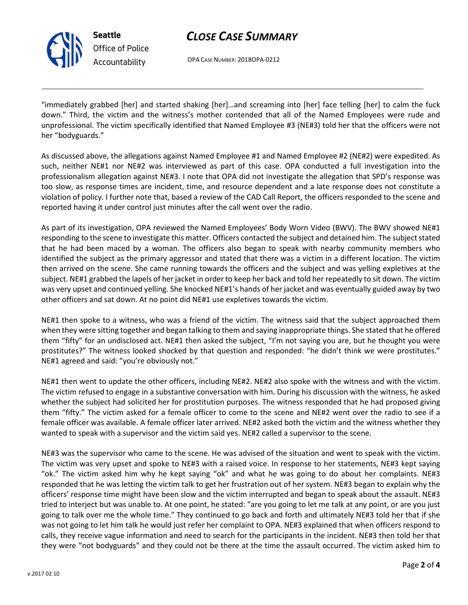

Seattle Office of Police Accountability

# CLOSE CASE SUMMARY

OPA CASE NUMBER: 2018OPA-0212

"immediately grabbed [her] and started shaking [her]…and screaming into [her] face telling [her] to calm the fuck down." Third, the victim and the witness's mother contended that all of the Named Employees were rude and unprofessional. The victim specifically identified that Named Employee #3 (NE#3) told her that the officers were not her "bodyguards."

As discussed above, the allegations against Named Employee #1 and Named Employee #2 (NE#2) were expedited. As such, neither NE#1 nor NE#2 was interviewed as part of this case. OPA conducted a full investigation into the professionalism allegation against NE#3. I note that OPA did not investigate the allegation that SPD's response was too slow, as response times are incident, time, and resource dependent and a late response does not constitute a violation of policy. I further note that, based a review of the CAD Call Report, the officers responded to the scene and reported having it under control just minutes after the call went over the radio.

As part of its investigation, OPA reviewed the Named Employees' Body Worn Video (BWV). The BWV showed NE#1 responding to the scene to investigate this matter. Officers contacted the subject and detained him. The subject stated that he had been maced by a woman. The officers also began to speak with nearby community members who identified the subject as the primary aggressor and stated that there was a victim in a different location. The victim then arrived on the scene. She came running towards the officers and the subject and was yelling expletives at the subject. NE#1 grabbed the lapels of her jacket in order to keep her back and told her repeatedly to sit down. The victim was very upset and continued yelling. She knocked NE#1's hands of her jacket and was eventually guided away by two other officers and sat down. At no point did NE#1 use expletives towards the victim.

NE#1 then spoke to a witness, who was a friend of the victim. The witness said that the subject approached them when they were sitting together and began talking to them and saying inappropriate things. She stated that he offered them "fifty" for an undisclosed act. NE#1 then asked the subject, "I'm not saying you are, but he thought you were prostitutes?" The witness looked shocked by that question and responded: "he didn't think we were prostitutes." NE#1 agreed and said: "you're obviously not."

NE#1 then went to update the other officers, including NE#2. NE#2 also spoke with the witness and with the victim. The victim refused to engage in a substantive conversation with him. During his discussion with the witness, he asked whether the subject had solicited her for prostitution purposes. The witness responded that he had proposed giving them "fifty." The victim asked for a female officer to come to the scene and NE#2 went over the radio to see if a female officer was available. A female officer later arrived. NE#2 asked both the victim and the witness whether they wanted to speak with a supervisor and the victim said yes. NE#2 called a supervisor to the scene.

NE#3 was the supervisor who came to the scene. He was advised of the situation and went to speak with the victim. The victim was very upset and spoke to NE#3 with a raised voice. In response to her statements, NE#3 kept saying "ok." The victim asked him why he kept saying "ok" and what he was going to do about her complaints. NE#3 responded that he was letting the victim talk to get her frustration out of her system. NE#3 began to explain why the officers' response time might have been slow and the victim interrupted and began to speak about the assault. NE#3 tried to interject but was unable to. At one point, he stated: "are you going to let me talk at any point, or are you just going to talk over me the whole time." They continued to go back and forth and ultimately NE#3 told her that if she was not going to let him talk he would just refer her complaint to OPA. NE#3 explained that when officers respond to calls, they receive vague information and need to search for the participants in the incident. NE#3 then told her that they were "not bodyguards" and they could not be there at the time the assault occurred. The victim asked him to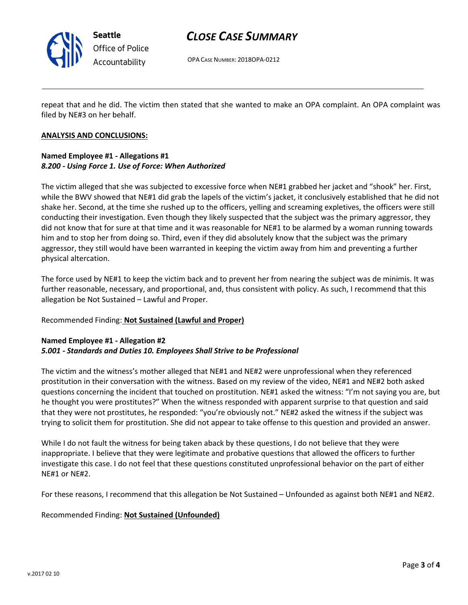

Seattle Office of Police Accountability

# CLOSE CASE SUMMARY

OPA CASE NUMBER: 2018OPA-0212

repeat that and he did. The victim then stated that she wanted to make an OPA complaint. An OPA complaint was filed by NE#3 on her behalf.

#### ANALYSIS AND CONCLUSIONS:

# Named Employee #1 - Allegations #1 8.200 - Using Force 1. Use of Force: When Authorized

The victim alleged that she was subjected to excessive force when NE#1 grabbed her jacket and "shook" her. First, while the BWV showed that NE#1 did grab the lapels of the victim's jacket, it conclusively established that he did not shake her. Second, at the time she rushed up to the officers, yelling and screaming expletives, the officers were still conducting their investigation. Even though they likely suspected that the subject was the primary aggressor, they did not know that for sure at that time and it was reasonable for NE#1 to be alarmed by a woman running towards him and to stop her from doing so. Third, even if they did absolutely know that the subject was the primary aggressor, they still would have been warranted in keeping the victim away from him and preventing a further physical altercation.

The force used by NE#1 to keep the victim back and to prevent her from nearing the subject was de minimis. It was further reasonable, necessary, and proportional, and, thus consistent with policy. As such, I recommend that this allegation be Not Sustained – Lawful and Proper.

## Recommended Finding: Not Sustained (Lawful and Proper)

#### Named Employee #1 - Allegation #2 5.001 - Standards and Duties 10. Employees Shall Strive to be Professional

The victim and the witness's mother alleged that NE#1 and NE#2 were unprofessional when they referenced prostitution in their conversation with the witness. Based on my review of the video, NE#1 and NE#2 both asked questions concerning the incident that touched on prostitution. NE#1 asked the witness: "I'm not saying you are, but he thought you were prostitutes?" When the witness responded with apparent surprise to that question and said that they were not prostitutes, he responded: "you're obviously not." NE#2 asked the witness if the subject was trying to solicit them for prostitution. She did not appear to take offense to this question and provided an answer.

While I do not fault the witness for being taken aback by these questions, I do not believe that they were inappropriate. I believe that they were legitimate and probative questions that allowed the officers to further investigate this case. I do not feel that these questions constituted unprofessional behavior on the part of either NE#1 or NE#2.

For these reasons, I recommend that this allegation be Not Sustained – Unfounded as against both NE#1 and NE#2.

## Recommended Finding: Not Sustained (Unfounded)